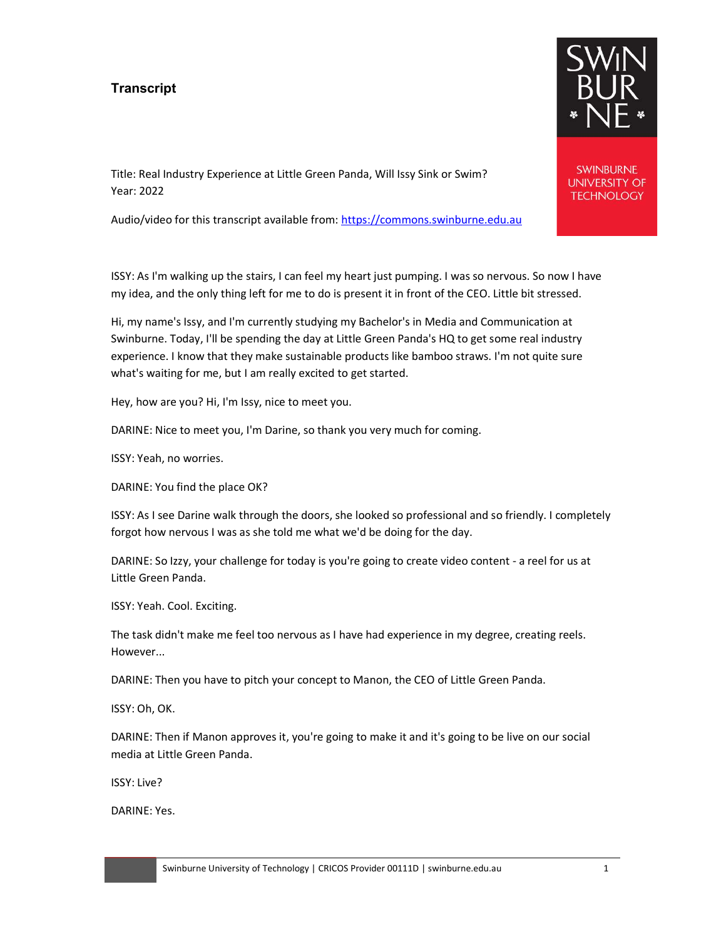## **Transcript**



**SWINBURNE UNIVERSITY OF TECHNOLOGY** 

Title: Real Industry Experience at Little Green Panda, Will Issy Sink or Swim? Year: 2022

Audio/video for this transcript available from: https://commons.swinburne.edu.au

ISSY: As I'm walking up the stairs, I can feel my heart just pumping. I was so nervous. So now I have my idea, and the only thing left for me to do is present it in front of the CEO. Little bit stressed.

Hi, my name's Issy, and I'm currently studying my Bachelor's in Media and Communication at Swinburne. Today, I'll be spending the day at Little Green Panda's HQ to get some real industry experience. I know that they make sustainable products like bamboo straws. I'm not quite sure what's waiting for me, but I am really excited to get started.

Hey, how are you? Hi, I'm Issy, nice to meet you.

DARINE: Nice to meet you, I'm Darine, so thank you very much for coming.

ISSY: Yeah, no worries.

DARINE: You find the place OK?

ISSY: As I see Darine walk through the doors, she looked so professional and so friendly. I completely forgot how nervous I was as she told me what we'd be doing for the day.

DARINE: So Izzy, your challenge for today is you're going to create video content - a reel for us at Little Green Panda.

ISSY: Yeah. Cool. Exciting.

The task didn't make me feel too nervous as I have had experience in my degree, creating reels. However...

DARINE: Then you have to pitch your concept to Manon, the CEO of Little Green Panda.

ISSY: Oh, OK.

DARINE: Then if Manon approves it, you're going to make it and it's going to be live on our social media at Little Green Panda.

ISSY: Live?

DARINE: Yes.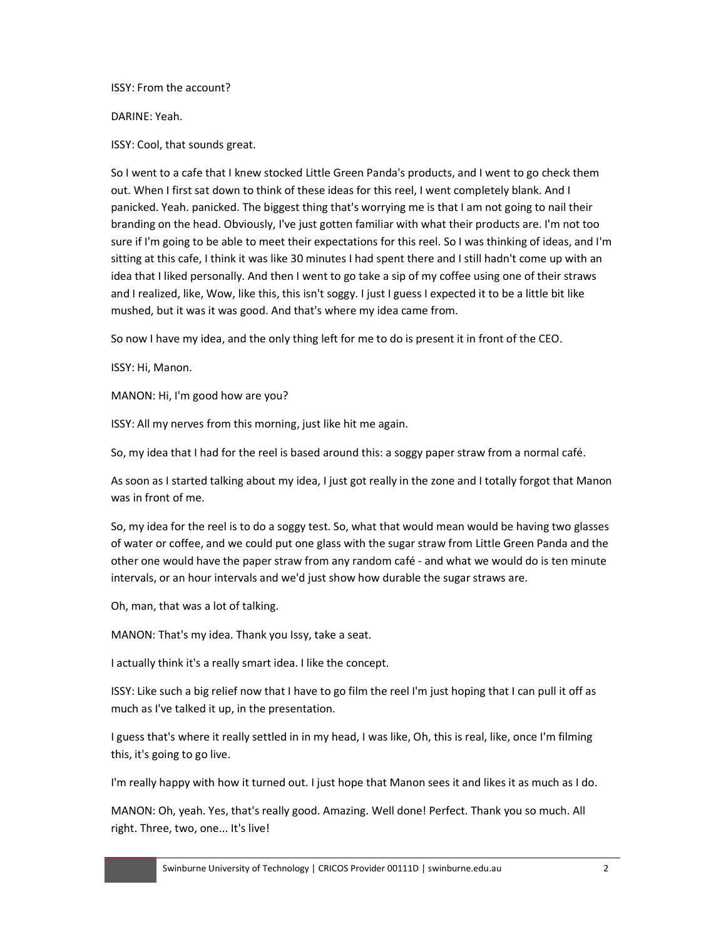ISSY: From the account?

## DARINE: Yeah.

ISSY: Cool, that sounds great.

So I went to a cafe that I knew stocked Little Green Panda's products, and I went to go check them out. When I first sat down to think of these ideas for this reel, I went completely blank. And I panicked. Yeah. panicked. The biggest thing that's worrying me is that I am not going to nail their branding on the head. Obviously, I've just gotten familiar with what their products are. I'm not too sure if I'm going to be able to meet their expectations for this reel. So I was thinking of ideas, and I'm sitting at this cafe, I think it was like 30 minutes I had spent there and I still hadn't come up with an idea that I liked personally. And then I went to go take a sip of my coffee using one of their straws and I realized, like, Wow, like this, this isn't soggy. I just I guess I expected it to be a little bit like mushed, but it was it was good. And that's where my idea came from.

So now I have my idea, and the only thing left for me to do is present it in front of the CEO.

ISSY: Hi, Manon.

MANON: Hi, I'm good how are you?

ISSY: All my nerves from this morning, just like hit me again.

So, my idea that I had for the reel is based around this: a soggy paper straw from a normal café.

As soon as I started talking about my idea, I just got really in the zone and I totally forgot that Manon was in front of me.

So, my idea for the reel is to do a soggy test. So, what that would mean would be having two glasses of water or coffee, and we could put one glass with the sugar straw from Little Green Panda and the other one would have the paper straw from any random café - and what we would do is ten minute intervals, or an hour intervals and we'd just show how durable the sugar straws are.

Oh, man, that was a lot of talking.

MANON: That's my idea. Thank you Issy, take a seat.

I actually think it's a really smart idea. I like the concept.

ISSY: Like such a big relief now that I have to go film the reel I'm just hoping that I can pull it off as much as I've talked it up, in the presentation.

I guess that's where it really settled in in my head, I was like, Oh, this is real, like, once I'm filming this, it's going to go live.

I'm really happy with how it turned out. I just hope that Manon sees it and likes it as much as I do.

MANON: Oh, yeah. Yes, that's really good. Amazing. Well done! Perfect. Thank you so much. All right. Three, two, one... It's live!